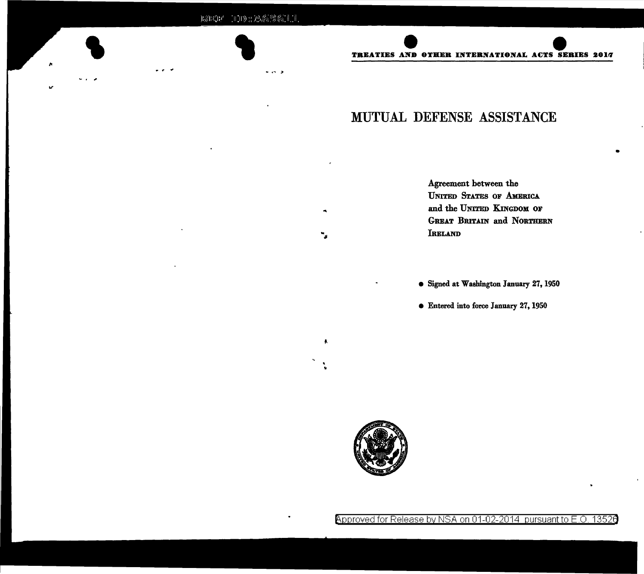$\mathrm{BSE}(\mathbb{B})^* = \left[ \mathrm{I}\bigcup \mathrm{I}\bigoplus \bigoplus \bigotimes \bigotimes \left(\mathbb{S}\big \right) \bigotimes \left(\mathbb{S}_1 \right) \right] \mathbb{I},$ 

# $\cdots$

TREATIES AND OTHER INTERNATIONAL ACTS SERIES 2017

# MUTUAL DEFENSE ASSISTANCE

Agreement between the **UNITED STATES OF AMERICA** and the UNITED KINGDOM OF **GREAT BRITAIN and NORTHERN IRELAND** 

- Signed at Washington January 27, 1950
- Entered into force January 27, 1950



۰,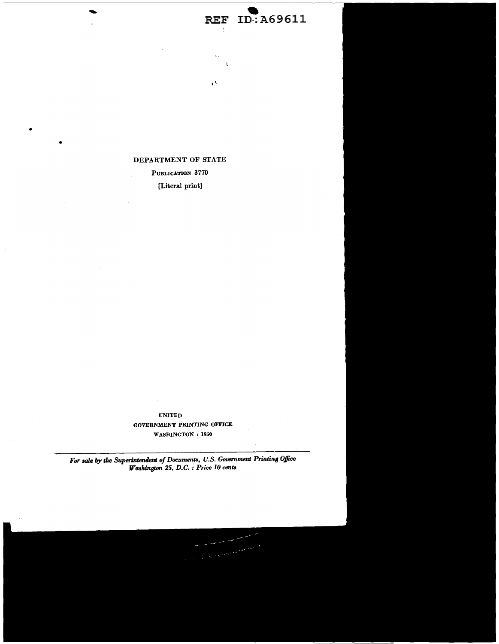### ID:A69611 **REF**

 $\sim$  i  $\hat{\mathbf{e}}$  .  $\mathbf{t}$ 

 $\epsilon$   $\Gamma$ 

## DEPARTMENT OF STATE PUBLICATION 3770

### [Literal print]

**UNITED** GOVERNMENT PRINTING OFFICE  $WASHINGTON : 1950$ 

For sale by the Superintendent of Documents, U.S. Government Printing Office Washington 25, D.C. : Price 10 cents

> 200000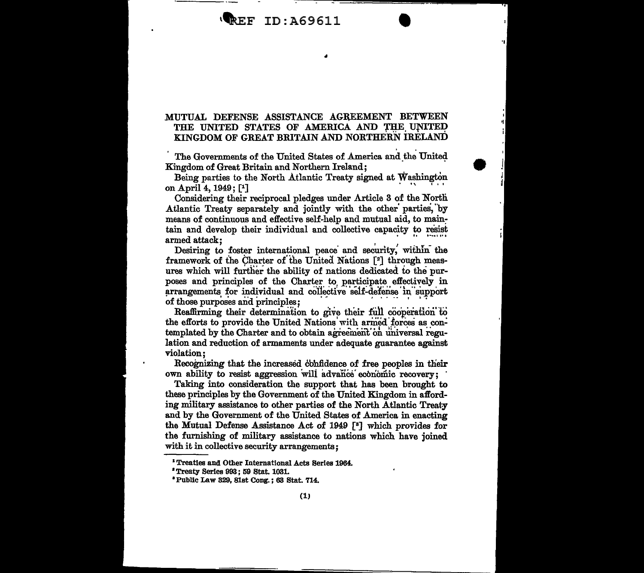# **REF ID: 369611**

### MUTUAL DEFENSE ASSISTANCE AGREEMENT BETWEEN THE UNITED STATES OF AMERICA AND THE UNITED KINGDOM OF GREAT BRITAIN AND NORTHERN IRELAND

The Governments of the United States of America and the United Kingdom of Great Britain and Northern Ireland:

Being parties to the North Atlantic Treaty signed at Washington on April 4, 1949; [1]

Considering their reciprocal pledges under Article 3 of the North Atlantic Treaty separately and jointly with the other parties, by means of continuous and effective self-help and mutual aid, to maintain and develop their individual and collective capacity to resist armed attack:

Desiring to foster international peace and security, within the framework of the Charter of the United Nations [2] through measures which will further the ability of nations dedicated to the purposes and principles of the Charter to participate effectively in arrangements for individual and collective self-defense in support of those purposes and principles:

Reaffirming their determination to give their full cooperation to the efforts to provide the United Nations with armed forces as contemplated by the Charter and to obtain agreement on universal regulation and reduction of armaments under adequate guarantee against violation:

Recognizing that the increased confidence of free peoples in their own ability to resist aggression will advance economic recovery;

Taking into consideration the support that has been brought to these principles by the Government of the United Kingdom in affording military assistance to other parties of the North Atlantic Treaty and by the Government of the United States of America in enacting the Mutual Defense Assistance Act of 1949 [3] which provides for the furnishing of military assistance to nations which have joined with it in collective security arrangements:

<sup>&</sup>lt;sup>1</sup> Treaties and Other International Acts Series 1964.

<sup>&</sup>lt;sup>2</sup> Treaty Series 993; 59 Stat. 1031.

<sup>&</sup>lt;sup>\*</sup>Public Law 329, 81st Cong.; 63 Stat. 714.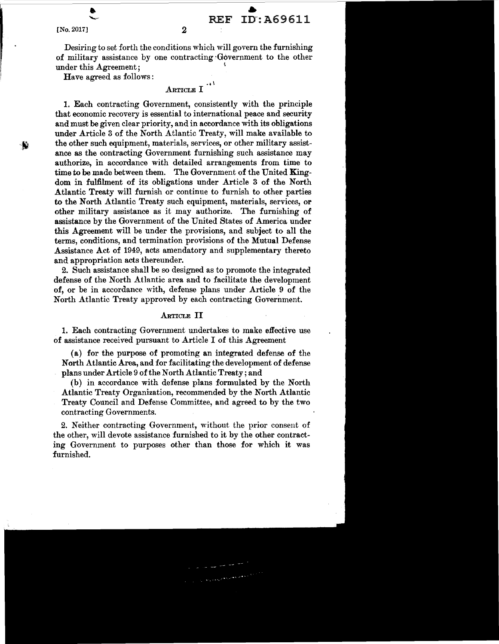₩

Desiring to set forth the conditions which will govern the furnishing of military assistance by one contracting ·Government to the other under this Agreement;

Have agreed as follows:

# ARTICLE I $\mathbf{I}$

1. Each contracting Government, consistently with the principle that economic recovery is essential to international peace and security and must be given clear priority, and in accordance with its obligations under Article 3 of the North Atlantic Treaty, will make available to the other such equipment, materials, services, or other military assistance as the contracting Government furnishing such assistance may authorize, in accordance with detailed arrangements from time to time to be made between them. The Government of the United Kingdom in fulfilment of its obligations under Article 3 of the North Atlantic Treaty will furnish or continue to furnish to other parties to the North Atlantic Treaty such equipment, materials, services, or other military assistance as it may authorize. The furnishing of assistance by the Government of the United States of America under this Agreement will be under the provisions, and subject to all the terms, conditions, and termination provisions of the Mutual Defense Assistance Act of 1949, acts amendatory and supplementary thereto and appropriation acts thereunder.

2. Such assistance shall be so designed as to promote the integrated defense of the North Atlantic area and to facilitate the development of, or be in accordance with, defense plans under Article 9 of the North Atlantic Treaty approved by each contracting Government.

### ARTICLE II

1. Each contracting Government undertakes to make effective use of assistance received pursuant to Article I of this Agreement

(a) for the purpose of promoting an integrated defense of the North Atlantic Area, and for facilitating the development of defense plans under Article 9 of the North Atlantic Treaty; and

(b) in accordance with defense plans formulated by the North Atlantic Treaty Organization, recommended by the North Atlantic Treaty Council and Defense Committee, and agreed to by the two contracting Governments.

2. Neither contracting Government, without the prior consent of the other, will devote assistance furnished to it by the other contracting Government to purposes other than those for which it was furnished.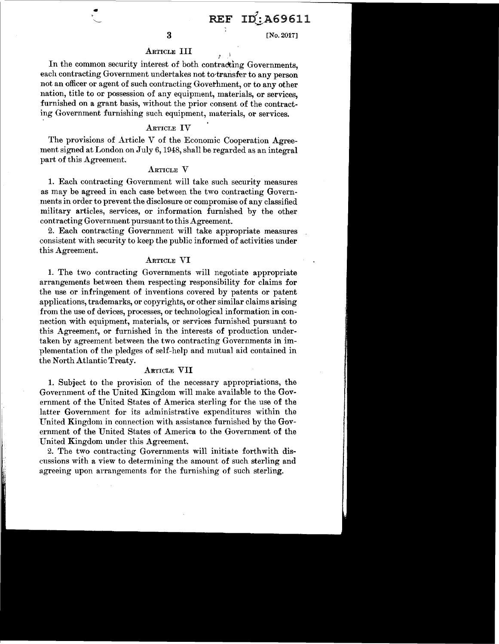# REF  $ID$ : A69611

•

### $3$   $[No. 2017]$

### **ARTICLE III**

In the common security interest of both contracting Governments. each contracting Government undertakes not to transfer to any person not an officer or agent of such contracting Govethment, or to any other nation, title to or possession of any equipment, materials, or services, furnished on a grant basis, without the prior consent of the contracting Government furnishing such equipment, materials, or services.

### ARTICLE IV

The provisions of Article V of the Economic Cooperation Agreement signed at London on July 6, 1948, shall be regarded as an integral part of this Agreement.

### ARTICLE V

1. Each contracting Government will take such security measures as may be agreed in each case between the two contracting Governments in order to prevent the disclosure or compromise of any classified military articles, services, or information furnished by the other contracting Government pursuant to this Agreement.

2. Each contracting Government will take appropriate measures consistent with security to keep the public informed of activities under this Agreement.

### ARTICLE VI

1. The two contracting Governments will negotiate appropriate arrangements between them respecting responsibility for claims for the use or infringement of inventions covered by patents or patent applications, trademarks, or copyrights, or other similar claims arising from the use of devices, processes, or technological information in connection with equipment, materials, or services furnished pursuant to this Agreement, or furnished in the interests of production undertaken by agreement between the two contracting Governments in implementation of the pledges of self-help and mutual aid contained in the North Atlantic Treaty.

### ARTICLE VII

1. Subject to the provision of the necessary appropriations, the Government of the United Kingdom will make available to the Government of the United States of America sterling for the use of the latter Government for its administrative expenditures within the United Kingdom in connection with assistance furnished by the Government of the United States of America to the Government of the United Kingdom under this Agreement.

2. The two contracting Governments will initiate forthwith discussions with a view to determining the amount of such sterling and agreeing upon arrangements for the furnishing of such sterling.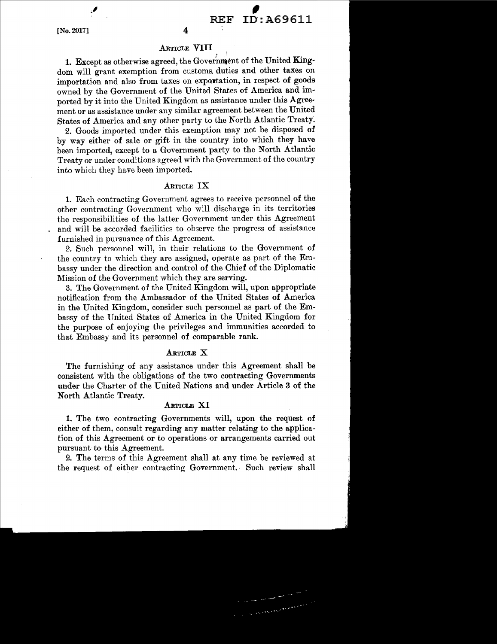[No. 2017] 4

### ARTICLE VIII

1. Except as otherwise agreed, the Government of the United Kingdom will grant exemption from customs. duties and other taxes on importation and also from taxes on exportation, in respect of goods owned by the Government of the United States of America and imported by it into the United Kingdom as assistance under this Agree· ment or as assistance under any similar agreement between the United States of America and any other party to the North Atlantic Treaty.

2. Goods imported under this exemption may not be disposed of by way either of sale or gift in the country into which they have been imported, except to a Government party to the North Atlantic Treaty or under conditions agreed with the Government of the country into which they have been imported.

### ARTICLE IX

1. Each contracting Government agrees to receive personnel of the other contracting Government who will discharge in its territories the responsibilities of the latter Government under this Agreement and will be accorded facilities to observe the progress of assistance furnished in pursuance of this Agreement.

2. Such personnel will, in their relations to the Government of the country to which they are assigned, operate as part of the Embassy under the direction and control of the Chief of the Diplomatic Mission of the Government which they are serving.

3. The Government of the United Kingdom will, upon appropriate notification from the Ambassador of the United States of America in the United Kingdom, consider such personnel as part of the Embassy of the United States of America in the United Kingdom for the purpose of enjoying the privileges and immunities accorded to that Embassy and its personnel of comparable rank.

### ARTICLE X

The furnishing of any assistance under this Agreement shall be consistent with the obligations of the two contracting Governments under the Charter of the United Nations and under Article 3 of the North Atlantic Treaty.

### ARTICLE XI

1. The two contracting Governments will, upon the request of either of them, consult regarding any matter relating to the application of this Agreement or to operations or arrangements carried out pursuant to this Agreement.

2. The terms of this Agreement shall at any time be reviewed at the request of either contracting Government. Such review shall

e en la partie de la partie de la partie de la partie de la partie de la partie de la partie de la partie de l<br>Le partie de la partie de la partie de la partie de la partie de la partie de la partie de la partie de la par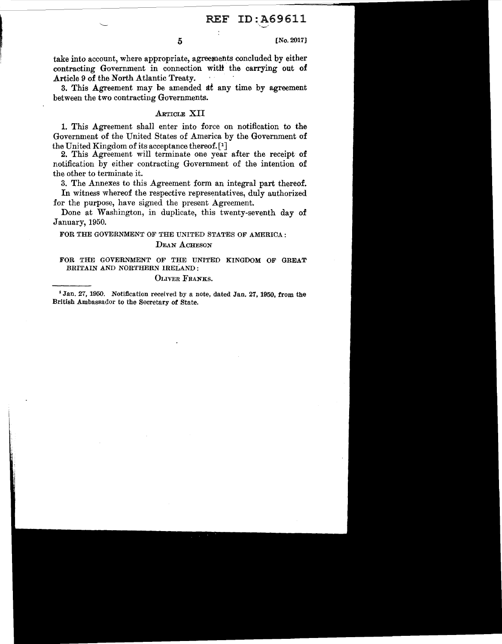### 5 [No. 2017)

take into account, where appropriate, agreements concluded by either contracting Government in connection witH the carrying out of Article 9 of the North Atlantic Treaty.

3. This Agreement may be amended at any time by agreement between the two contracting Governments.

### ARTICLE XII

1. This Agreement shall enter into force on notification to the Government of the United States of America by the Government of the United Kingdom of its acceptance thereof. [1]

2. This Agreement will terminate one year after the receipt of notification by either contracting Government of the intention of the other to terminate it.

3. The Annexes to this Agreement form an integral part thereof. In witness whereof the respective representatives, duly authorized

for the purpose, have signed the present Agreement. Done at Washington, in duplicate, this twenty-seventh day of

January, 1950.

FOR THE GOVERNMENT OF THE UNITED STATES OF AMERICA:

### DEAN ACHESON

FOR THE GOVERNMENT OF THE UNITED KINGDOM OF GREAT BRITAIN AND NORTHERN IRELAND:

### OLIVER FRANKS.

1 Jan. 27, 1950. Notification received by a note, dated Jan. 27, 1950, from the British Ambassador to the Secretary of State.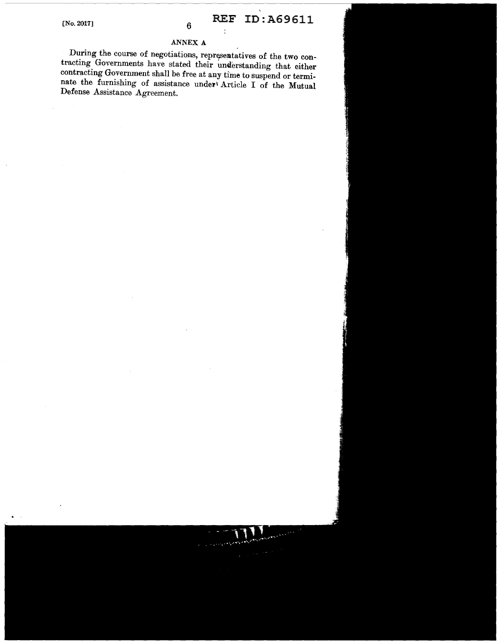### ANNEX A

During the course of negotiations, represemtatives of the two contracting Governments have stated their understanding that either contracting Government shall be free at any time to suspend or terminate the furnishing of assistance undey\ Article I of the Mutual Defense Assistance Agreement.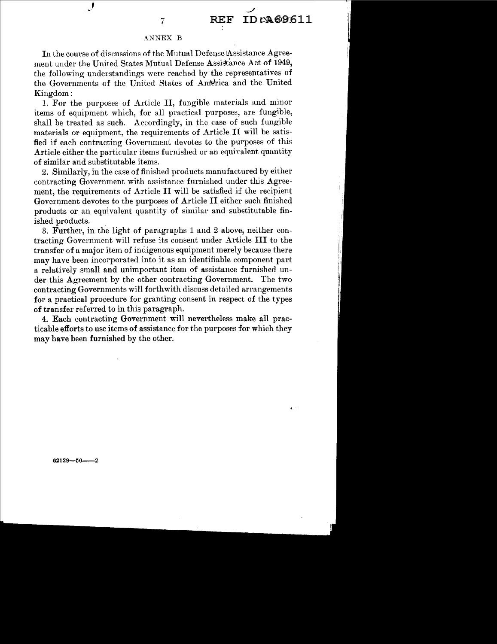# $7$  REF ID  $\mathbf{r}\mathbf{A}\mathbf{\Theta}\mathbf{9611}$

J

### ANNEX B

ु

In the course of discussions of the Mutual Defense Assistance Agreement under the United States Mutual Defense Assistance Act of 1949, the following understandings were reached by the representatives of the Governments of the United States of Am\trica and the United Kingdom:

1. For the purposes of Article II, fungible materials and minor items of equipment which, for all practical purposes, are fungible, shall be treated as such. Accordingly, in the case of such fungible materials or equipment, the requirements of Article II will be satisfied if each contracting Government devotes to the purposes of this Article either the particular items furnished or an equivalent quantity of similar and substitutable items.

2. Similarly, in the case of finished products manufactured by either contracting Government with assistance furnished under this Agreement, the requirements of Article II will be satisfied if the recipient Government devotes to the purposes of Article II either such finished products or an equivalent quantity of similar and substitutable finished products. .

3. Further, in the light of paragraphs 1 and 2 above, neither contracting Government will refuse its consent under Article III to the transfer of a major item of indigenous equipment merely because there may have been incorporated into it as an identifiable component part a relatively small and unimportant item of assistance furnished under this Agreement by the other contracting Government. The two contracting Governments will forthwith discuss detailed arrangements for a practical procedure for granting consent in respect of the types of transfer referred to in this paragraph.

4. Each contracting Government will nevertheless make all practicable efforts to use items of assistance for the purposes for which they may have been furnished by the other.

 $62129 - 50 - 2$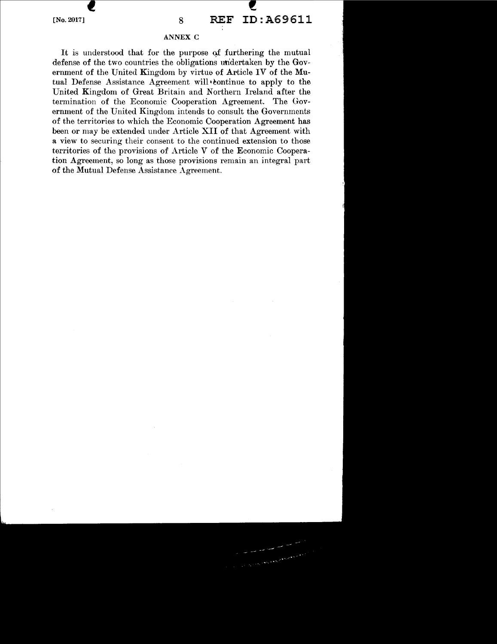# [No. 2017] 8 REF ID: A69611

e en el compositor de la famille de la compositor de la compositor de la compositor de la compositor de la com<br>La compositor de la compositor de la compositor de la compositor de la compositor de la compositor de la compo

### ANNEX C

It is understood that for the purpose of furthering the mutual defense of the two countries the obligations undertaken by the Government of the United Kingdom by virtue of Article IV of the Mutual Defense Assistance Agreement will • continue to apply to the United Kingdom of Great Britain and Northern Ireland after the termination of the Economic Cooperation Agreement. The Government of the United Kingdom intends to consult the Governments of the territories to which the Economic Cooperation Agreement has been or may be extended under Article XII of that Agreement with a view to securing their consent to the continued extension to those territories of the provisions of Article V of the Economic Cooperation Agreement, so long as those provisions remain an integral part of the Mutual Defense Assistance Agreement.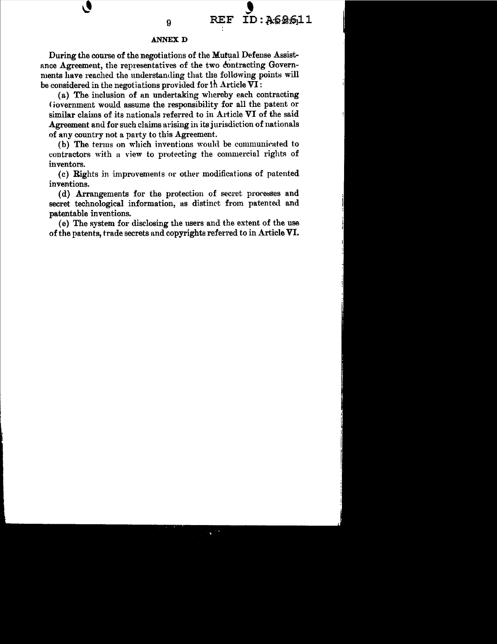### ANNEX D

9

REF

ID: A62611

During the course of the negotiations of the Mutual Defense Assistance Agreement, the representatives of the two contracting Governments have reached the understanding that the following points will be considered in the negotiations provided for th Article VI:

(a) The inclusion of an undertaking whereby each contracting (iovernment would assume the responsibility for all the patent or similar claims of its nationals referred to in Article VI of the said Agreement and for such claims arising in its jurisdiction of nationals of any country not a party to this Agreement.

(b) The terms on which inventions would be communicated to contractors with a view to protecting the commercial rights of inventors.

(c) Rights in improvements or other modifications of patented inventions.

( d) Arrangements for the protection of secret processes and secret technological information, as distinct from patented and patentable inventions.

( e) The system for disclosing the users and the extent of the use of the patents, trade secrets and copyrights referred to in Article  $VI.$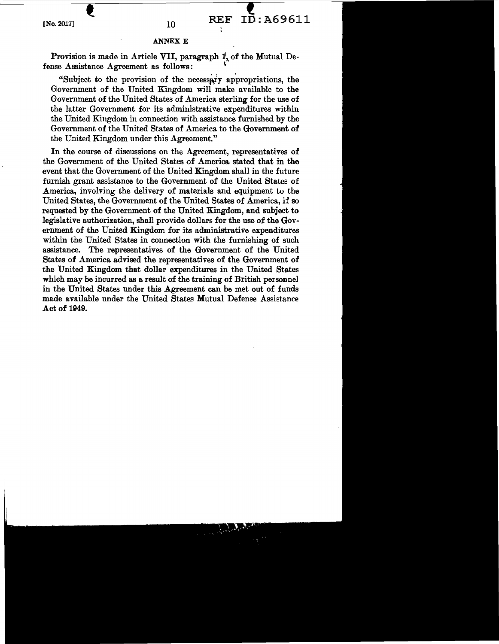### **ANNEX E**

Provision is made in Article VII, paragraph  $1<sup>i</sup>$ , of the Mutual Defense Assistance Agreement as follows:

"Subject to the provision of the necessary appropriations, the Government of the United Kingdom will make available to the Government of the United States of America sterling for the use of the latter Government for its administrative expenditures within the United Kingdom in connection with assistance furnished by the Government of the United States of America to the Government of the United Kingdom under this Agreement."

In the course of discussions on the Agreement, representatives of the Government of the United States of America stated that in the event that the Government of the United Kingdom shall in the future furnish grant assistance to the Government of the United States of America, involving the delivery of materials and equipment to the United States, the Government of the United States of America, if so requested by the Government of the United Kingdom, and subject to legislative authorization, shall provide dollars for the use of the Government of the United Kingdom for its administrative expenditures within the United States in connection with the furnishing of such assistance. The representatives of the Government of the United States of America advised the representatives of the Government of the United Kingdom that dollar expenditures in the United States which may be incurred as a result of the training of British personnel in the United States under this Agreement can be met out of funds made available under the United States Mutual Defense Assistance Act of 1949.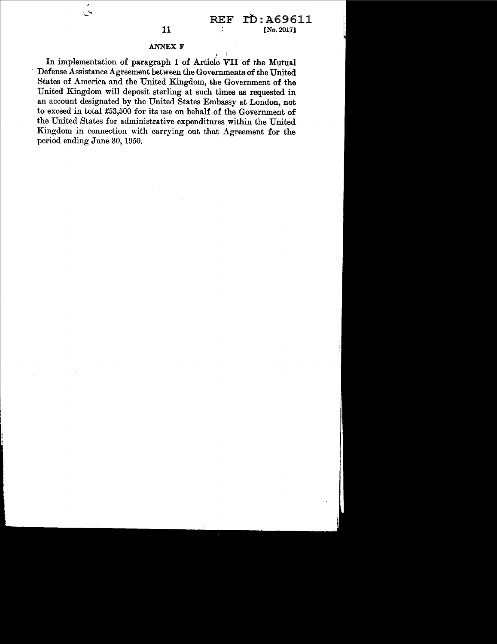### REF ID: A69611 11 [No. 2017]

 $\overline{\phantom{0}}$ 

### ANNEX F

In implementation of paragraph 1 of Article VII of the Mutual Defense Assistance Agreement between the Governments of the United States of America and the United Kingdom, the Government of the United Kingdom will deposit sterling at such times as requested in an account designated by the United States Embassy at London, not to exceed in total £53,500 for its use on behalf of the Government of the United States for administrative expenditures within the United Kingdom in connection with carrying out that Agreement for the period ending June 30, 1950.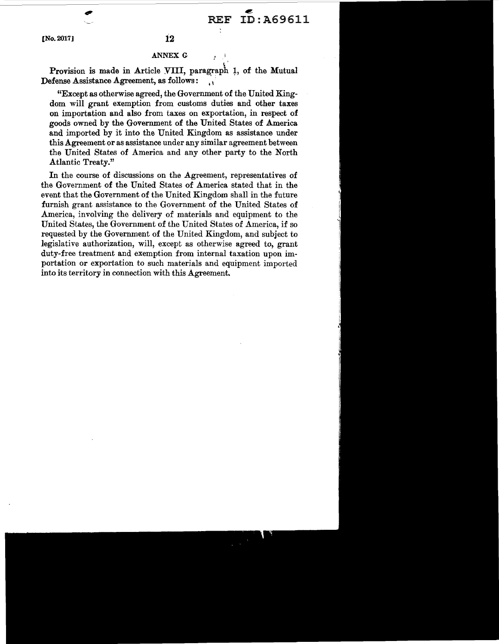### ANNEX G *:* <sup>I</sup>

Provision is made in Article VIII, paragraph 1, of the Mutual Defense Assistance Agreement, as follows :  $\ddot{\phantom{a}}$ 

"Except as otherwise agreed, the Government of the United Kingdom will grant exemption from customs duties and other taxes on importation and also from taxes on exportation, in respect of goods owned by the Government of the United States of America and imported by it into the United Kingdom as assistance under this Agreement or as assistance under any similar agreement between the United States of America and any other party to the North Atlantic Treaty."

In the course of discussions on the Agreement, representatives of the Government of the United States of America stated that in the event that the Government of the United Kingdom shall in the future furnish grant assistance to the Government of the United States of America, involving the delivery of materials and equipment to the United States, the Government of the United States of America, if so requested by the Government of the United Kingdom, and subject to legislative authorization, will, except as otherwise agreed to, grant duty-free treatment and exemption from internal taxation upon importation or exportation to such materials and equipment imported into its territory in connection with this Agreement.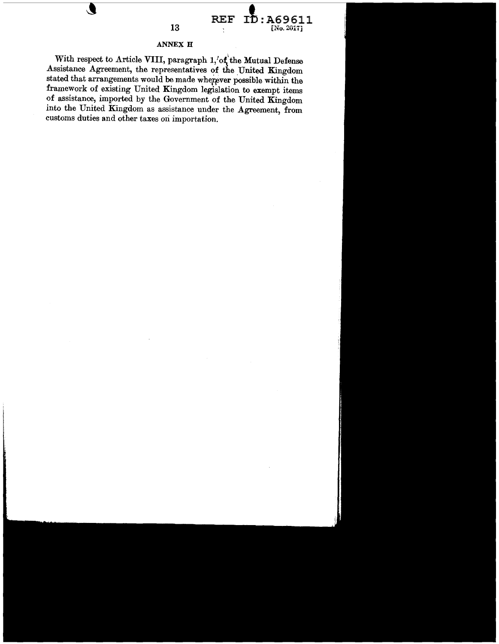### ANNEX H

13

**REF** 

÷

ID:A69611

 $[No. 2017]$ 

With respect to Article VIII, paragraph 1, of the Mutual Defense Assistance Agreement, the representatives of the United Kingdom stated that arrangements would be made wherever possible within the framework of existing United Kingdom legislation to exempt items of assistance, imported by the Government of the United Kingdom into the United Kingdom as assistance under the Agreement, from customs duties and other taxes on importation.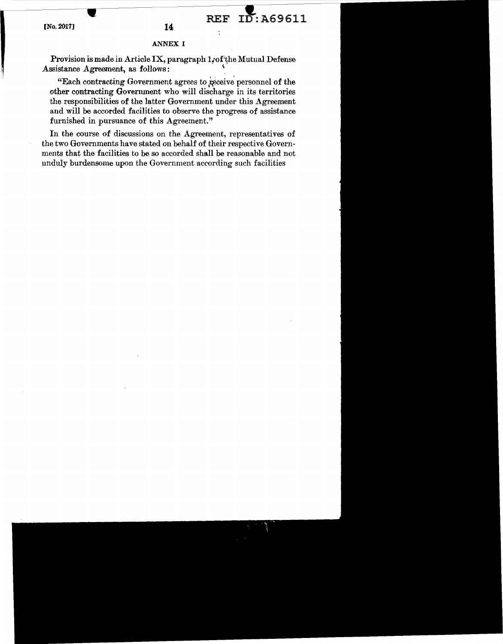# $REF$   $ID: A69611$

ŧ

### ANNEX I

Provision is made in Article IX, paragraph  $1<sub>i</sub>$ of the Mutual Defense Assistance Agreement, as follows : \

"Each contracting Government agrees to receive personnel of the other contracting Government who will discharge in its territories the responsibilities of the latter Government under this Agreement and will be accorded facilities to observe the progress of assistance furnished in pursuance of this Agreement."

In the course of discussions on the Agreement, representatives of the two Governments have stated on behalf of their respective Governments that the facilities to be so accorded shall be reasonable and not unduly burdensome upon the Government according such facilities

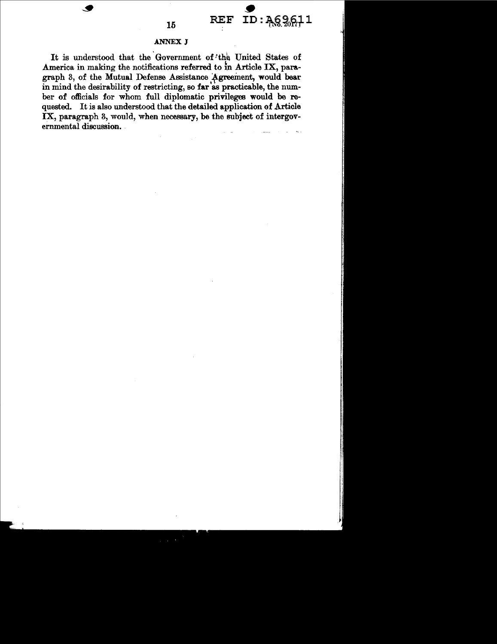# REF ID: 469611

### ANNEX J

15

It is understood that the Government of 'the United States of America in making the notifications referred to in Article IX, paragraph 3, of the Mutual Defense Assistance Agreement, would bear<br>in mind the desirability of restricting, so far as practicable, the number of officials for whom full diplomatic privileges would be requested. It is also understood that the detailed application of Article IX, paragraph 3, would, when necessary, be the subject of intergovernmental discussion.  $\varphi^{\pm}=\infty$  .